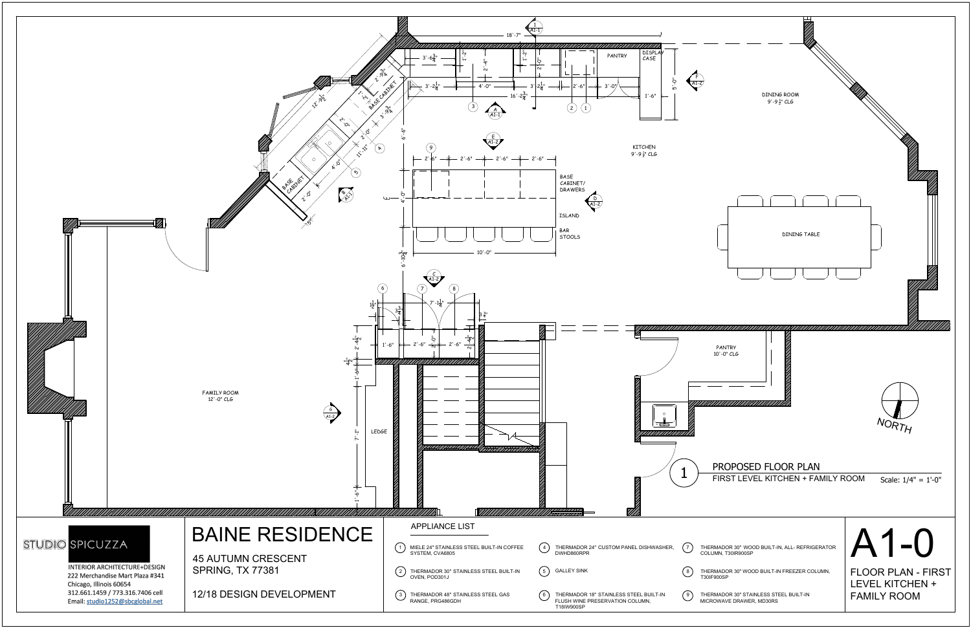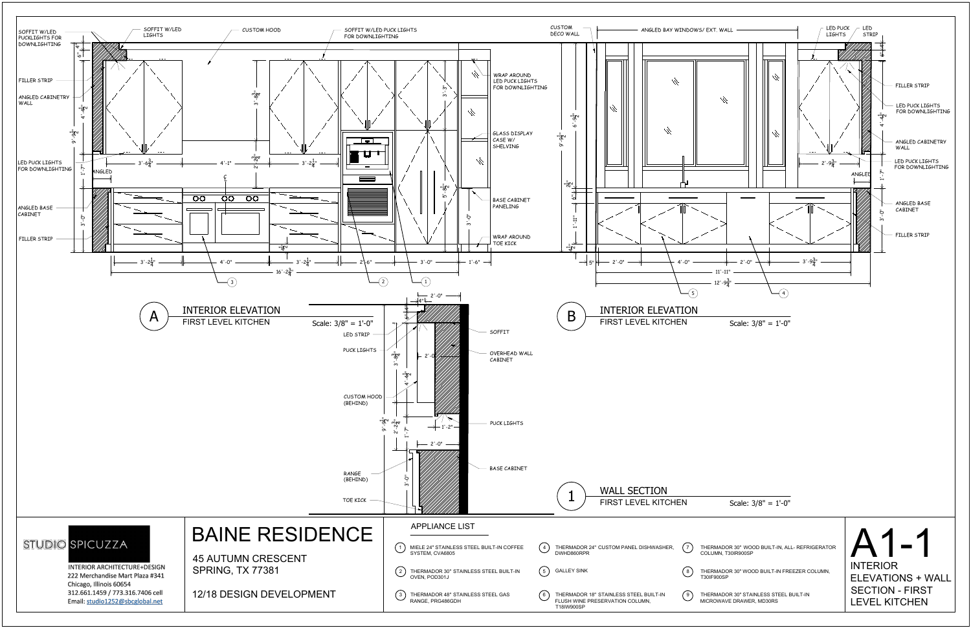